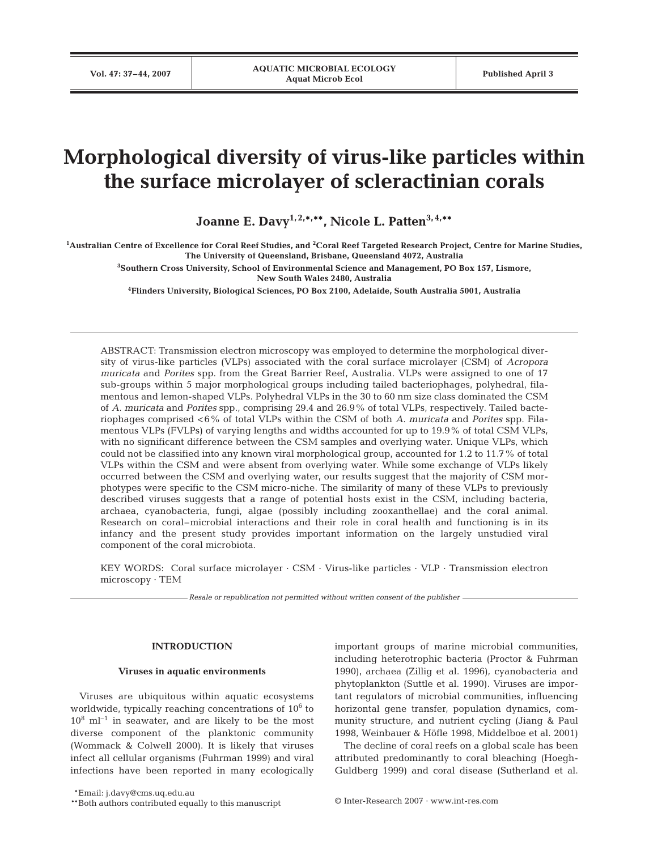# **Morphological diversity of virus-like particles within the surface microlayer of scleractinian corals**

**Joanne E. Davy1, 2,\*, \*\*, Nicole L. Patten3, 4,\*\***

**1 Australian Centre of Excellence for Coral Reef Studies, and 2 Coral Reef Targeted Research Project, Centre for Marine Studies, The University of Queensland, Brisbane, Queensland 4072, Australia**

> **3 Southern Cross University, School of Environmental Science and Management, PO Box 157, Lismore, New South Wales 2480, Australia**

**4 Flinders University, Biological Sciences, PO Box 2100, Adelaide, South Australia 5001, Australia**

ABSTRACT: Transmission electron microscopy was employed to determine the morphological diversity of virus-like particles (VLPs) associated with the coral surface microlayer (CSM) of *Acropora muricata* and *Porites* spp. from the Great Barrier Reef, Australia. VLPs were assigned to one of 17 sub-groups within 5 major morphological groups including tailed bacteriophages, polyhedral, filamentous and lemon-shaped VLPs. Polyhedral VLPs in the 30 to 60 nm size class dominated the CSM of *A. muricata* and *Porites* spp., comprising 29.4 and 26.9% of total VLPs, respectively. Tailed bacteriophages comprised <6% of total VLPs within the CSM of both *A. muricata* and *Porites* spp. Filamentous VLPs (FVLPs) of varying lengths and widths accounted for up to 19.9% of total CSM VLPs, with no significant difference between the CSM samples and overlying water. Unique VLPs, which could not be classified into any known viral morphological group, accounted for 1.2 to 11.7% of total VLPs within the CSM and were absent from overlying water. While some exchange of VLPs likely occurred between the CSM and overlying water, our results suggest that the majority of CSM morphotypes were specific to the CSM micro-niche. The similarity of many of these VLPs to previously described viruses suggests that a range of potential hosts exist in the CSM, including bacteria, archaea, cyanobacteria, fungi, algae (possibly including zooxanthellae) and the coral animal. Research on coral–microbial interactions and their role in coral health and functioning is in its infancy and the present study provides important information on the largely unstudied viral component of the coral microbiota.

KEY WORDS: Coral surface microlayer · CSM · Virus-like particles · VLP · Transmission electron microscopy · TEM

*Resale or republication not permitted without written consent of the publisher*

## **INTRODUCTION**

#### **Viruses in aquatic environments**

Viruses are ubiquitous within aquatic ecosystems worldwide, typically reaching concentrations of  $10<sup>6</sup>$  to  $10^8$  ml<sup>-1</sup> in seawater, and are likely to be the most diverse component of the planktonic community (Wommack & Colwell 2000). It is likely that viruses infect all cellular organisms (Fuhrman 1999) and viral infections have been reported in many ecologically important groups of marine microbial communities, including heterotrophic bacteria (Proctor & Fuhrman 1990), archaea (Zillig et al. 1996), cyanobacteria and phytoplankton (Suttle et al. 1990). Viruses are important regulators of microbial communities, influencing horizontal gene transfer, population dynamics, community structure, and nutrient cycling (Jiang & Paul 1998, Weinbauer & Höfle 1998, Middelboe et al. 2001)

The decline of coral reefs on a global scale has been attributed predominantly to coral bleaching (Hoegh-Guldberg 1999) and coral disease (Sutherland et al.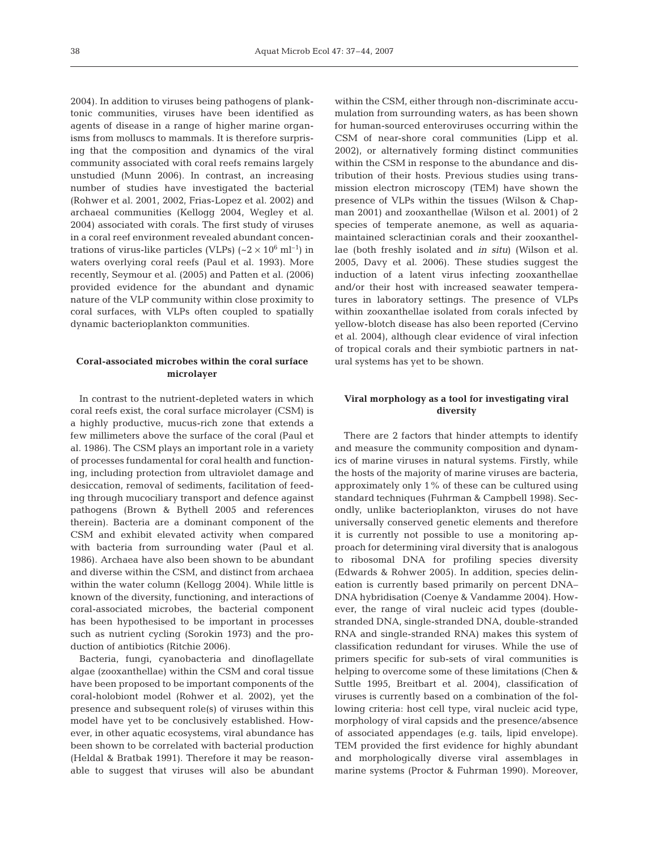2004). In addition to viruses being pathogens of planktonic communities, viruses have been identified as agents of disease in a range of higher marine organisms from molluscs to mammals. It is therefore surprising that the composition and dynamics of the viral community associated with coral reefs remains largely unstudied (Munn 2006). In contrast, an increasing number of studies have investigated the bacterial (Rohwer et al. 2001, 2002, Frias-Lopez et al. 2002) and archaeal communities (Kellogg 2004, Wegley et al. 2004) associated with corals. The first study of viruses in a coral reef environment revealed abundant concentrations of virus-like particles (VLPs)  $({\sim}2 \times 10^6 \text{ ml}^{-1})$  in waters overlying coral reefs (Paul et al. 1993). More recently, Seymour et al. (2005) and Patten et al. (2006) provided evidence for the abundant and dynamic nature of the VLP community within close proximity to coral surfaces, with VLPs often coupled to spatially dynamic bacterioplankton communities.

## **Coral-associated microbes within the coral surface microlayer**

In contrast to the nutrient-depleted waters in which coral reefs exist, the coral surface microlayer (CSM) is a highly productive, mucus-rich zone that extends a few millimeters above the surface of the coral (Paul et al. 1986). The CSM plays an important role in a variety of processes fundamental for coral health and functioning, including protection from ultraviolet damage and desiccation, removal of sediments, facilitation of feeding through mucociliary transport and defence against pathogens (Brown & Bythell 2005 and references therein). Bacteria are a dominant component of the CSM and exhibit elevated activity when compared with bacteria from surrounding water (Paul et al. 1986). Archaea have also been shown to be abundant and diverse within the CSM, and distinct from archaea within the water column (Kellogg 2004). While little is known of the diversity, functioning, and interactions of coral-associated microbes, the bacterial component has been hypothesised to be important in processes such as nutrient cycling (Sorokin 1973) and the production of antibiotics (Ritchie 2006).

Bacteria, fungi, cyanobacteria and dinoflagellate algae (zooxanthellae) within the CSM and coral tissue have been proposed to be important components of the coral-holobiont model (Rohwer et al. 2002), yet the presence and subsequent role(s) of viruses within this model have yet to be conclusively established. However, in other aquatic ecosystems, viral abundance has been shown to be correlated with bacterial production (Heldal & Bratbak 1991). Therefore it may be reasonable to suggest that viruses will also be abundant

within the CSM, either through non-discriminate accumulation from surrounding waters, as has been shown for human-sourced enteroviruses occurring within the CSM of near-shore coral communities (Lipp et al. 2002), or alternatively forming distinct communities within the CSM in response to the abundance and distribution of their hosts. Previous studies using transmission electron microscopy (TEM) have shown the presence of VLPs within the tissues (Wilson & Chapman 2001) and zooxanthellae (Wilson et al. 2001) of 2 species of temperate anemone, as well as aquariamaintained scleractinian corals and their zooxanthellae (both freshly isolated and *in situ*) (Wilson et al. 2005, Davy et al. 2006). These studies suggest the induction of a latent virus infecting zooxanthellae and/or their host with increased seawater temperatures in laboratory settings. The presence of VLPs within zooxanthellae isolated from corals infected by yellow-blotch disease has also been reported (Cervino et al. 2004), although clear evidence of viral infection of tropical corals and their symbiotic partners in natural systems has yet to be shown.

## **Viral morphology as a tool for investigating viral diversity**

There are 2 factors that hinder attempts to identify and measure the community composition and dynamics of marine viruses in natural systems. Firstly, while the hosts of the majority of marine viruses are bacteria, approximately only 1% of these can be cultured using standard techniques (Fuhrman & Campbell 1998). Secondly, unlike bacterioplankton, viruses do not have universally conserved genetic elements and therefore it is currently not possible to use a monitoring approach for determining viral diversity that is analogous to ribosomal DNA for profiling species diversity (Edwards & Rohwer 2005). In addition, species delineation is currently based primarily on percent DNA– DNA hybridisation (Coenye & Vandamme 2004). However, the range of viral nucleic acid types (doublestranded DNA, single-stranded DNA, double-stranded RNA and single-stranded RNA) makes this system of classification redundant for viruses. While the use of primers specific for sub-sets of viral communities is helping to overcome some of these limitations (Chen & Suttle 1995, Breitbart et al. 2004), classification of viruses is currently based on a combination of the following criteria: host cell type, viral nucleic acid type, morphology of viral capsids and the presence/absence of associated appendages (e.g. tails, lipid envelope). TEM provided the first evidence for highly abundant and morphologically diverse viral assemblages in marine systems (Proctor & Fuhrman 1990). Moreover,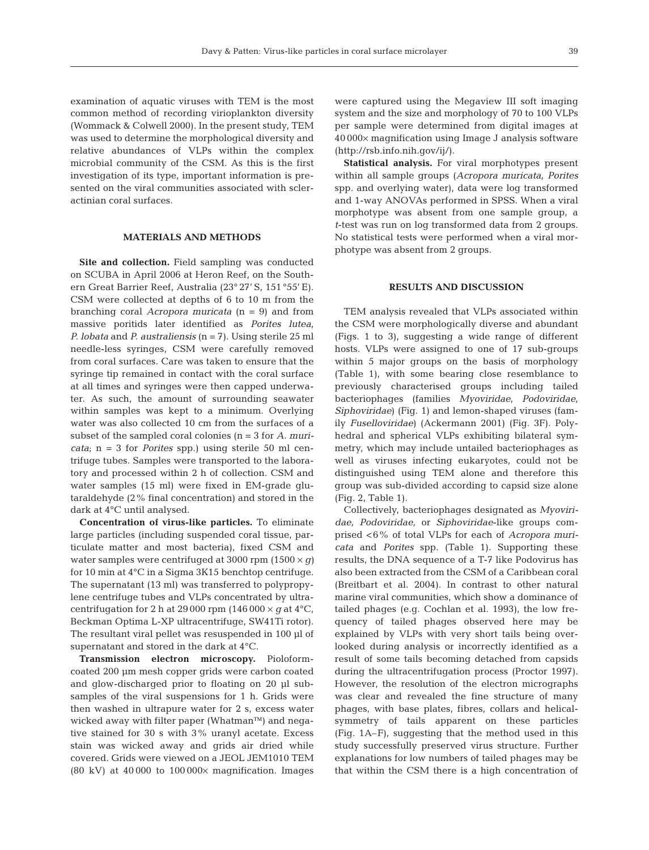examination of aquatic viruses with TEM is the most common method of recording virioplankton diversity (Wommack & Colwell 2000). In the present study, TEM was used to determine the morphological diversity and relative abundances of VLPs within the complex microbial community of the CSM. As this is the first investigation of its type, important information is presented on the viral communities associated with scleractinian coral surfaces.

## **MATERIALS AND METHODS**

**Site and collection.** Field sampling was conducted on SCUBA in April 2006 at Heron Reef, on the Southern Great Barrier Reef, Australia (23° 27' S, 151 °55' E). CSM were collected at depths of 6 to 10 m from the branching coral *Acropora muricata* (n = 9) and from massive poritids later identified as *Porites lutea*, *P. lobata* and *P. australiensis* (n = 7). Using sterile 25 ml needle-less syringes, CSM were carefully removed from coral surfaces. Care was taken to ensure that the syringe tip remained in contact with the coral surface at all times and syringes were then capped underwater. As such, the amount of surrounding seawater within samples was kept to a minimum. Overlying water was also collected 10 cm from the surfaces of a subset of the sampled coral colonies (n = 3 for *A. muricata*; n = 3 for *Porites* spp.) using sterile 50 ml centrifuge tubes. Samples were transported to the laboratory and processed within 2 h of collection. CSM and water samples (15 ml) were fixed in EM-grade glutaraldehyde (2% final concentration) and stored in the dark at 4°C until analysed.

**Concentration of virus-like particles.** To eliminate large particles (including suspended coral tissue, particulate matter and most bacteria), fixed CSM and water samples were centrifuged at 3000 rpm (1500 × *g)* for 10 min at 4°C in a Sigma 3K15 benchtop centrifuge. The supernatant (13 ml) was transferred to polypropylene centrifuge tubes and VLPs concentrated by ultracentrifugation for 2 h at 29 000 rpm (146 000  $\times$  *g* at 4 °C, Beckman Optima L-XP ultracentrifuge, SW41Ti rotor). The resultant viral pellet was resuspended in 100 µl of supernatant and stored in the dark at 4°C.

**Transmission electron microscopy.** Pioloformcoated 200 µm mesh copper grids were carbon coated and glow-discharged prior to floating on 20 µl subsamples of the viral suspensions for 1 h. Grids were then washed in ultrapure water for 2 s, excess water wicked away with filter paper (Whatman™) and negative stained for 30 s with 3% uranyl acetate. Excess stain was wicked away and grids air dried while covered. Grids were viewed on a JEOL JEM1010 TEM (80 kV) at 40 000 to  $100000 \times$  magnification. Images

were captured using the Megaview III soft imaging system and the size and morphology of 70 to 100 VLPs per sample were determined from digital images at 40 000× magnification using Image J analysis software (http://rsb.info.nih.gov/ij/).

**Statistical analysis.** For viral morphotypes present within all sample groups (*Acropora muricata*, *Porites* spp. and overlying water), data were log transformed and 1-way ANOVAs performed in SPSS. When a viral morphotype was absent from one sample group, a *t*-test was run on log transformed data from 2 groups. No statistical tests were performed when a viral morphotype was absent from 2 groups.

## **RESULTS AND DISCUSSION**

TEM analysis revealed that VLPs associated within the CSM were morphologically diverse and abundant (Figs. 1 to 3), suggesting a wide range of different hosts. VLPs were assigned to one of 17 sub-groups within 5 major groups on the basis of morphology (Table 1), with some bearing close resemblance to previously characterised groups including tailed bacteriophages (families *Myoviridae*, *Podoviridae*, *Siphoviridae*) (Fig. 1) and lemon-shaped viruses (family *Fuselloviridae*) (Ackermann 2001) (Fig. 3F). Polyhedral and spherical VLPs exhibiting bilateral symmetry, which may include untailed bacteriophages as well as viruses infecting eukaryotes, could not be distinguished using TEM alone and therefore this group was sub-divided according to capsid size alone (Fig. 2, Table 1).

Collectively, bacteriophages designated as *Myoviridae, Podoviridae,* or *Siphoviridae*-like groups comprised <6% of total VLPs for each of *Acropora muricata* and *Porites* spp. (Table 1). Supporting these results, the DNA sequence of a T-7 like Podovirus has also been extracted from the CSM of a Caribbean coral (Breitbart et al. 2004). In contrast to other natural marine viral communities, which show a dominance of tailed phages (e.g. Cochlan et al. 1993), the low frequency of tailed phages observed here may be explained by VLPs with very short tails being overlooked during analysis or incorrectly identified as a result of some tails becoming detached from capsids during the ultracentrifugation process (Proctor 1997). However, the resolution of the electron micrographs was clear and revealed the fine structure of many phages, with base plates, fibres, collars and helicalsymmetry of tails apparent on these particles (Fig. 1A–F), suggesting that the method used in this study successfully preserved virus structure. Further explanations for low numbers of tailed phages may be that within the CSM there is a high concentration of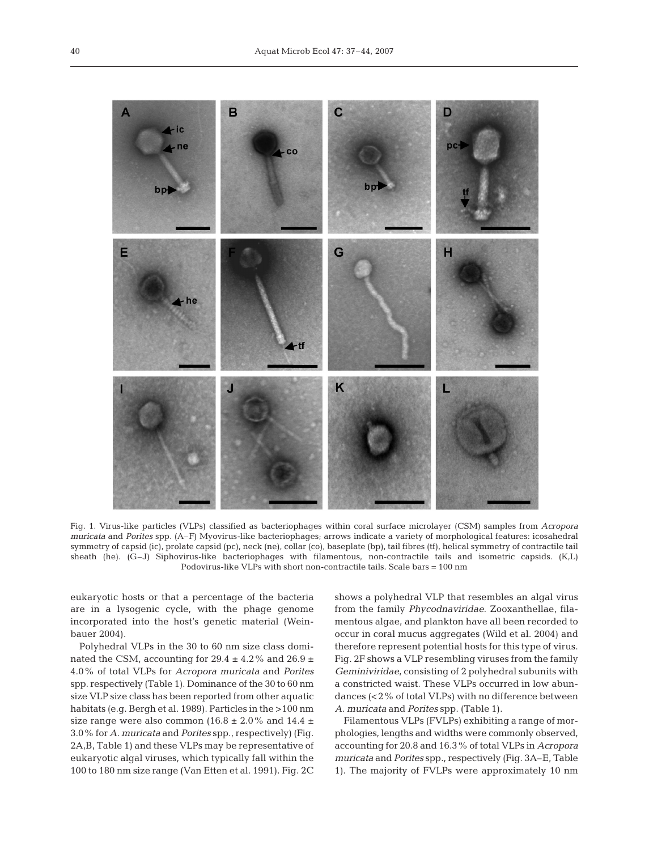

Fig. 1. Virus-like particles (VLPs) classified as bacteriophages within coral surface microlayer (CSM) samples from *Acropora muricata* and *Porites* spp. (A–F) Myovirus-like bacteriophages; arrows indicate a variety of morphological features: icosahedral symmetry of capsid (ic), prolate capsid (pc), neck (ne), collar (co), baseplate (bp), tail fibres (tf), helical symmetry of contractile tail sheath (he). (G–J) Siphovirus-like bacteriophages with filamentous, non-contractile tails and isometric capsids. (K,L) Podovirus-like VLPs with short non-contractile tails. Scale bars = 100 nm

eukaryotic hosts or that a percentage of the bacteria are in a lysogenic cycle, with the phage genome incorporated into the host's genetic material (Weinbauer 2004).

Polyhedral VLPs in the 30 to 60 nm size class dominated the CSM, accounting for 29.4  $\pm$  4.2% and 26.9  $\pm$ 4.0% of total VLPs for *Acropora muricata* and *Porites* spp. respectively (Table 1). Dominance of the 30 to 60 nm size VLP size class has been reported from other aquatic habitats (e.g. Bergh et al. 1989). Particles in the >100 nm size range were also common (16.8  $\pm$  2.0% and 14.4  $\pm$ 3.0% for *A. muricata* and *Porites* spp., respectively) (Fig. 2A,B, Table 1) and these VLPs may be representative of eukaryotic algal viruses, which typically fall within the 100 to 180 nm size range (Van Etten et al. 1991). Fig. 2C

shows a polyhedral VLP that resembles an algal virus from the family *Phycodnaviridae*. Zooxanthellae, filamentous algae, and plankton have all been recorded to occur in coral mucus aggregates (Wild et al. 2004) and therefore represent potential hosts for this type of virus. Fig. 2F shows a VLP resembling viruses from the family *Geminiviridae*, consisting of 2 polyhedral subunits with a constricted waist. These VLPs occurred in low abundances (<2% of total VLPs) with no difference between *A. muricata* and *Porites* spp. (Table 1).

Filamentous VLPs (FVLPs) exhibiting a range of morphologies, lengths and widths were commonly observed, accounting for 20.8 and 16.3% of total VLPs in *Acropora muricata* and *Porites* spp., respectively (Fig. 3A–E, Table 1). The majority of FVLPs were approximately 10 nm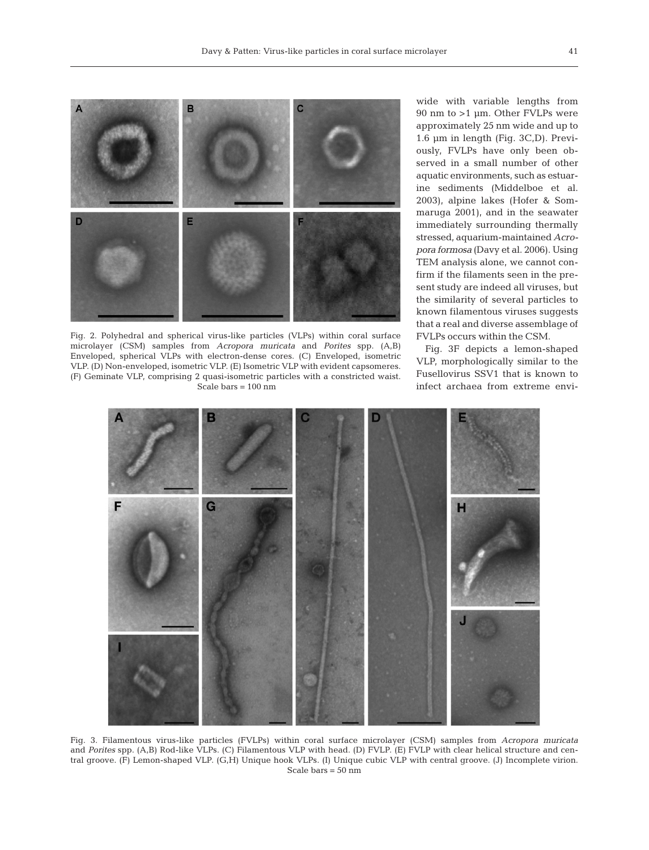

Fig. 2. Polyhedral and spherical virus-like particles (VLPs) within coral surface microlayer (CSM) samples from *Acropora muricata* and *Porites* spp. (A,B) Enveloped, spherical VLPs with electron-dense cores. (C) Enveloped, isometric VLP. (D) Non-enveloped, isometric VLP. (E) Isometric VLP with evident capsomeres. (F) Geminate VLP, comprising 2 quasi-isometric particles with a constricted waist. Scale bars = 100 nm

wide with variable lengths from 90 nm to >1 µm. Other FVLPs were approximately 25 nm wide and up to 1.6 µm in length (Fig. 3C,D). Previously, FVLPs have only been observed in a small number of other aquatic environments, such as estuarine sediments (Middelboe et al. 2003), alpine lakes (Hofer & Sommaruga 2001), and in the seawater immediately surrounding thermally stressed, aquarium-maintained *Acropora formosa* (Davy et al. 2006). Using TEM analysis alone, we cannot confirm if the filaments seen in the present study are indeed all viruses, but the similarity of several particles to known filamentous viruses suggests that a real and diverse assemblage of FVLPs occurs within the CSM.

Fig. 3F depicts a lemon-shaped VLP, morphologically similar to the Fusellovirus SSV1 that is known to infect archaea from extreme envi-



Fig. 3. Filamentous virus-like particles (FVLPs) within coral surface microlayer (CSM) samples from *Acropora muricata* and *Porites* spp. (A,B) Rod-like VLPs. (C) Filamentous VLP with head. (D) FVLP. (E) FVLP with clear helical structure and central groove. (F) Lemon-shaped VLP. (G,H) Unique hook VLPs. (I) Unique cubic VLP with central groove. (J) Incomplete virion. Scale bars = 50 nm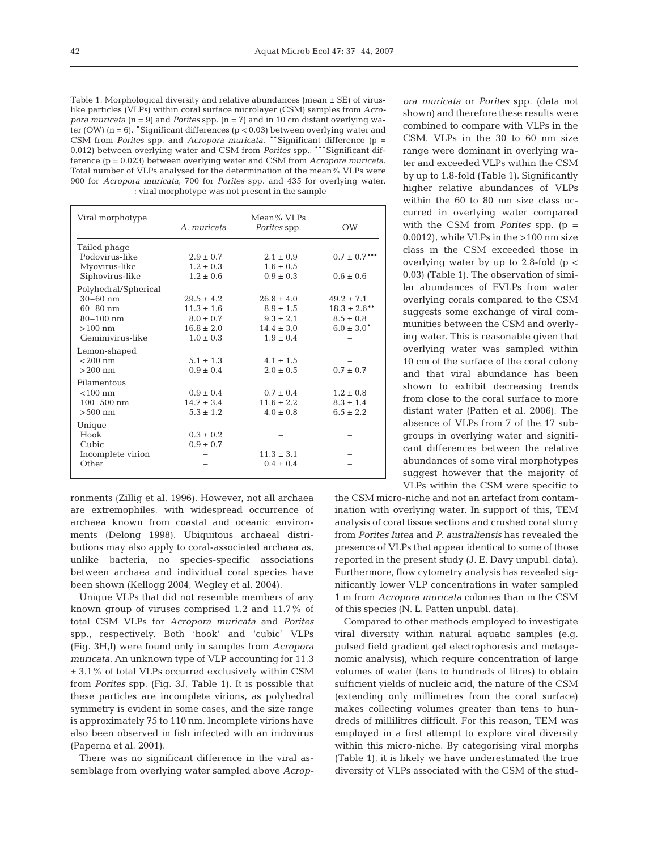Table 1. Morphological diversity and relative abundances (mean  $\pm$  SE) of viruslike particles (VLPs) within coral surface microlayer (CSM) samples from *Acropora muricata* (n = 9) and *Porites* spp. (n = 7) and in 10 cm distant overlying water (OW)  $(n = 6)$ . Significant differences  $(p < 0.03)$  between overlying water and CSM from *Porites* spp. and *Acropora muricata*. \*\*Significant difference (p = 0.012) between overlying water and CSM from *Porites* spp.. \*\*\*Significant difference (p = 0.023) between overlying water and CSM from *Acropora muricata*. Total number of VLPs analysed for the determination of the mean% VLPs were 900 for *Acropora muricata*, 700 for *Porites* spp. and 435 for overlying water. –: viral morphotype was not present in the sample

| Viral morphotype     | Mean% VLPs     |                |                   |
|----------------------|----------------|----------------|-------------------|
|                      | A. muricata    | Porites spp.   | <b>OW</b>         |
| Tailed phage         |                |                |                   |
| Podovirus-like       | $2.9 \pm 0.7$  | $2.1 \pm 0.9$  | $0.7 \pm 0.7$ *** |
| Myovirus-like        | $1.2 \pm 0.3$  | $1.6 \pm 0.5$  |                   |
| Siphovirus-like      | $1.2 \pm 0.6$  | $0.9 \pm 0.3$  | $0.6 \pm 0.6$     |
| Polyhedral/Spherical |                |                |                   |
| $30 - 60$ nm         | $29.5 \pm 4.2$ | $26.8 \pm 4.0$ | $49.2 \pm 7.1$    |
| $60 - 80$ nm         | $11.3 \pm 1.6$ | $8.9 \pm 1.5$  | $18.3 \pm 2.6$ ** |
| $80 - 100$ nm        | $8.0 \pm 0.7$  | $9.3 \pm 2.1$  | $8.5 \pm 0.8$     |
| $>100$ nm            | $16.8 \pm 2.0$ | $14.4 \pm 3.0$ | $6.0 \pm 3.0^*$   |
| Geminivirus-like     | $1.0 \pm 0.3$  | $1.9 \pm 0.4$  |                   |
| Lemon-shaped         |                |                |                   |
| $< 200$ nm           | $5.1 \pm 1.3$  | $4.1 \pm 1.5$  |                   |
| $>200$ nm            | $0.9 \pm 0.4$  | $2.0 \pm 0.5$  | $0.7 \pm 0.7$     |
| Filamentous          |                |                |                   |
| $< 100$ nm           | $0.9 \pm 0.4$  | $0.7 \pm 0.4$  | $1.2 \pm 0.8$     |
| $100 - 500$ nm       | $14.7 \pm 3.4$ | $11.6 \pm 2.2$ | $8.3 \pm 1.4$     |
| $>500$ nm            | $5.3 \pm 1.2$  | $4.0 \pm 0.8$  | $6.5 \pm 2.2$     |
| Unique               |                |                |                   |
| Hook                 | $0.3 \pm 0.2$  |                |                   |
| Cubic                | $0.9 \pm 0.7$  |                |                   |
| Incomplete virion    |                | $11.3 \pm 3.1$ |                   |
| Other                |                | $0.4 \pm 0.4$  |                   |
|                      |                |                |                   |

ronments (Zillig et al. 1996). However, not all archaea are extremophiles, with widespread occurrence of archaea known from coastal and oceanic environments (Delong 1998). Ubiquitous archaeal distributions may also apply to coral-associated archaea as, unlike bacteria, no species-specific associations between archaea and individual coral species have been shown (Kellogg 2004, Wegley et al. 2004).

Unique VLPs that did not resemble members of any known group of viruses comprised 1.2 and 11.7% of total CSM VLPs for *Acropora muricata* and *Porites* spp., respectively. Both 'hook' and 'cubic' VLPs (Fig. 3H,I) were found only in samples from *Acropora muricata*. An unknown type of VLP accounting for 11.3 ± 3.1% of total VLPs occurred exclusively within CSM from *Porites* spp. (Fig. 3J, Table 1). It is possible that these particles are incomplete virions, as polyhedral symmetry is evident in some cases, and the size range is approximately 75 to 110 nm. Incomplete virions have also been observed in fish infected with an iridovirus (Paperna et al. 2001).

There was no significant difference in the viral assemblage from overlying water sampled above *Acrop-* *ora muricata* or *Porites* spp. (data not shown) and therefore these results were combined to compare with VLPs in the CSM. VLPs in the 30 to 60 nm size range were dominant in overlying water and exceeded VLPs within the CSM by up to 1.8-fold (Table 1). Significantly higher relative abundances of VLPs within the 60 to 80 nm size class occurred in overlying water compared with the CSM from *Porites* spp. (p = 0.0012), while VLPs in the >100 nm size class in the CSM exceeded those in overlying water by up to 2.8-fold  $(p \lt c)$ 0.03) (Table 1). The observation of similar abundances of FVLPs from water overlying corals compared to the CSM suggests some exchange of viral communities between the CSM and overlying water. This is reasonable given that overlying water was sampled within 10 cm of the surface of the coral colony and that viral abundance has been shown to exhibit decreasing trends from close to the coral surface to more distant water (Patten et al. 2006). The absence of VLPs from 7 of the 17 subgroups in overlying water and significant differences between the relative abundances of some viral morphotypes suggest however that the majority of VLPs within the CSM were specific to

the CSM micro-niche and not an artefact from contamination with overlying water. In support of this, TEM analysis of coral tissue sections and crushed coral slurry from *Porites lutea* and *P. australiensis* has revealed the presence of VLPs that appear identical to some of those reported in the present study (J. E. Davy unpubl. data). Furthermore, flow cytometry analysis has revealed significantly lower VLP concentrations in water sampled 1 m from *Acropora muricata* colonies than in the CSM of this species (N. L. Patten unpubl. data).

Compared to other methods employed to investigate viral diversity within natural aquatic samples (e.g. pulsed field gradient gel electrophoresis and metagenomic analysis), which require concentration of large volumes of water (tens to hundreds of litres) to obtain sufficient yields of nucleic acid, the nature of the CSM (extending only millimetres from the coral surface) makes collecting volumes greater than tens to hundreds of millilitres difficult. For this reason, TEM was employed in a first attempt to explore viral diversity within this micro-niche. By categorising viral morphs (Table 1), it is likely we have underestimated the true diversity of VLPs associated with the CSM of the stud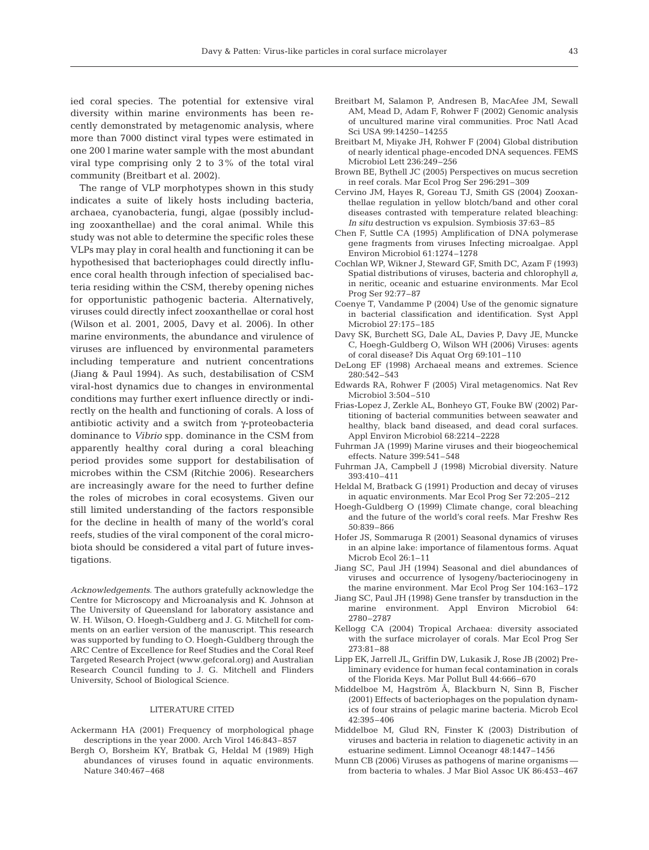ied coral species. The potential for extensive viral diversity within marine environments has been recently demonstrated by metagenomic analysis, where more than 7000 distinct viral types were estimated in one 200 l marine water sample with the most abundant viral type comprising only 2 to 3% of the total viral community (Breitbart et al. 2002).

The range of VLP morphotypes shown in this study indicates a suite of likely hosts including bacteria, archaea, cyanobacteria, fungi, algae (possibly including zooxanthellae) and the coral animal. While this study was not able to determine the specific roles these VLPs may play in coral health and functioning it can be hypothesised that bacteriophages could directly influence coral health through infection of specialised bacteria residing within the CSM, thereby opening niches for opportunistic pathogenic bacteria. Alternatively, viruses could directly infect zooxanthellae or coral host (Wilson et al. 2001, 2005, Davy et al. 2006). In other marine environments, the abundance and virulence of viruses are influenced by environmental parameters including temperature and nutrient concentrations (Jiang & Paul 1994). As such, destabilisation of CSM viral-host dynamics due to changes in environmental conditions may further exert influence directly or indirectly on the health and functioning of corals. A loss of antibiotic activity and a switch from γ-proteobacteria dominance to *Vibrio* spp. dominance in the CSM from apparently healthy coral during a coral bleaching period provides some support for destabilisation of microbes within the CSM (Ritchie 2006). Researchers are increasingly aware for the need to further define the roles of microbes in coral ecosystems. Given our still limited understanding of the factors responsible for the decline in health of many of the world's coral reefs, studies of the viral component of the coral microbiota should be considered a vital part of future investigations.

*Acknowledgements*. The authors gratefully acknowledge the Centre for Microscopy and Microanalysis and K. Johnson at The University of Queensland for laboratory assistance and W. H. Wilson, O. Hoegh-Guldberg and J. G. Mitchell for comments on an earlier version of the manuscript. This research was supported by funding to O. Hoegh-Guldberg through the ARC Centre of Excellence for Reef Studies and the Coral Reef Targeted Research Project (www.gefcoral.org) and Australian Research Council funding to J. G. Mitchell and Flinders University, School of Biological Science.

#### LITERATURE CITED

- Ackermann HA (2001) Frequency of morphological phage descriptions in the year 2000. Arch Virol 146:843–857
- Bergh O, Borsheim KY, Bratbak G, Heldal M (1989) High abundances of viruses found in aquatic environments. Nature 340:467–468
- Breitbart M, Salamon P, Andresen B, MacAfee JM, Sewall AM, Mead D, Adam F, Rohwer F (2002) Genomic analysis of uncultured marine viral communities. Proc Natl Acad Sci USA 99:14250–14255
- Breitbart M, Miyake JH, Rohwer F (2004) Global distribution of nearly identical phage-encoded DNA sequences. FEMS Microbiol Lett 236:249–256
- Brown BE, Bythell JC (2005) Perspectives on mucus secretion in reef corals. Mar Ecol Prog Ser 296:291–309
- Cervino JM, Hayes R, Goreau TJ, Smith GS (2004) Zooxanthellae regulation in yellow blotch/band and other coral diseases contrasted with temperature related bleaching: *In situ* destruction vs expulsion. Symbiosis 37:63–85
- Chen F, Suttle CA (1995) Amplification of DNA polymerase gene fragments from viruses Infecting microalgae. Appl Environ Microbiol 61:1274–1278
- Cochlan WP, Wikner J, Steward GF, Smith DC, Azam F (1993) Spatial distributions of viruses, bacteria and chlorophyll *a*, in neritic, oceanic and estuarine environments. Mar Ecol Prog Ser 92:77–87
- Coenye T, Vandamme P (2004) Use of the genomic signature in bacterial classification and identification. Syst Appl Microbiol 27:175–185
- Davy SK, Burchett SG, Dale AL, Davies P, Davy JE, Muncke C, Hoegh-Guldberg O, Wilson WH (2006) Viruses: agents of coral disease? Dis Aquat Org 69:101–110
- DeLong EF (1998) Archaeal means and extremes. Science 280:542–543
- Edwards RA, Rohwer F (2005) Viral metagenomics. Nat Rev Microbiol 3:504–510
- Frias-Lopez J, Zerkle AL, Bonheyo GT, Fouke BW (2002) Partitioning of bacterial communities between seawater and healthy, black band diseased, and dead coral surfaces. Appl Environ Microbiol 68:2214–2228
- Fuhrman JA (1999) Marine viruses and their biogeochemical effects. Nature 399:541–548
- Fuhrman JA, Campbell J (1998) Microbial diversity. Nature 393:410–411
- Heldal M, Bratback G (1991) Production and decay of viruses in aquatic environments. Mar Ecol Prog Ser 72:205–212
- Hoegh-Guldberg O (1999) Climate change, coral bleaching and the future of the world's coral reefs. Mar Freshw Res 50:839–866
- Hofer JS, Sommaruga R (2001) Seasonal dynamics of viruses in an alpine lake: importance of filamentous forms. Aquat Microb Ecol 26:1–11
- Jiang SC, Paul JH (1994) Seasonal and diel abundances of viruses and occurrence of lysogeny/bacteriocinogeny in the marine environment. Mar Ecol Prog Ser 104:163–172
- Jiang SC, Paul JH (1998) Gene transfer by transduction in the marine environment. Appl Environ Microbiol 64: 2780–2787
- Kellogg CA (2004) Tropical Archaea: diversity associated with the surface microlayer of corals. Mar Ecol Prog Ser 273:81–88
- Lipp EK, Jarrell JL, Griffin DW, Lukasik J, Rose JB (2002) Preliminary evidence for human fecal contamination in corals of the Florida Keys. Mar Pollut Bull 44:666–670
- Middelboe M, Hagström Å, Blackburn N, Sinn B, Fischer (2001) Effects of bacteriophages on the population dynamics of four strains of pelagic marine bacteria. Microb Ecol 42:395–406
- Middelboe M, Glud RN, Finster K (2003) Distribution of viruses and bacteria in relation to diagenetic activity in an estuarine sediment. Limnol Oceanogr 48:1447–1456
- Munn CB (2006) Viruses as pathogens of marine organisms from bacteria to whales. J Mar Biol Assoc UK 86:453–467